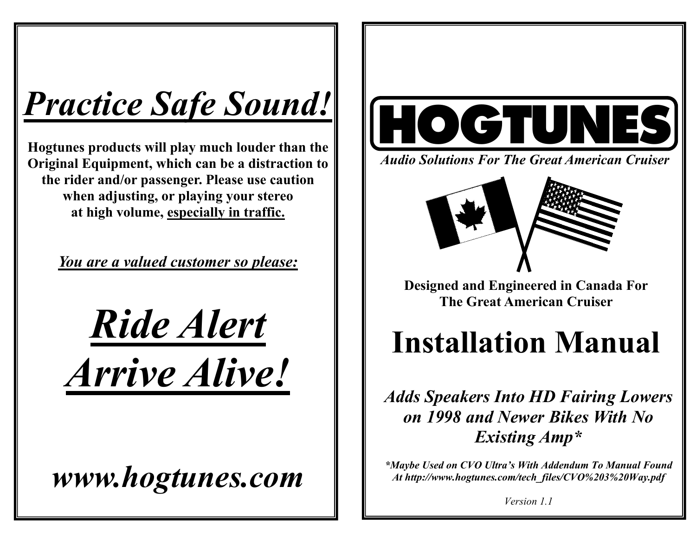# *Practice Safe Sound!*

**Hogtunes products will play much louder than the Original Equipment, which can be a distraction to the rider and/or passenger. Please use caution when adjusting, or playing your stereo at high volume, especially in traffic.** 

*You are a valued customer so please:*

*Ride Alert Arrive Alive!*

*www.hogtunes.com* 



*Audio Solutions For The Great American Cruiser* 



**Designed and Engineered in Canada For The Great American Cruiser** 

# **Installation Manual**

*Adds Speakers Into HD Fairing Lowers on 1998 and Newer Bikes With No Existing Amp\** 

*\*Maybe Used on CVO Ultra's With Addendum To Manual Found At http://www.hogtunes.com/tech\_files/CVO%203%20Way.pdf* 

*Version 1.1*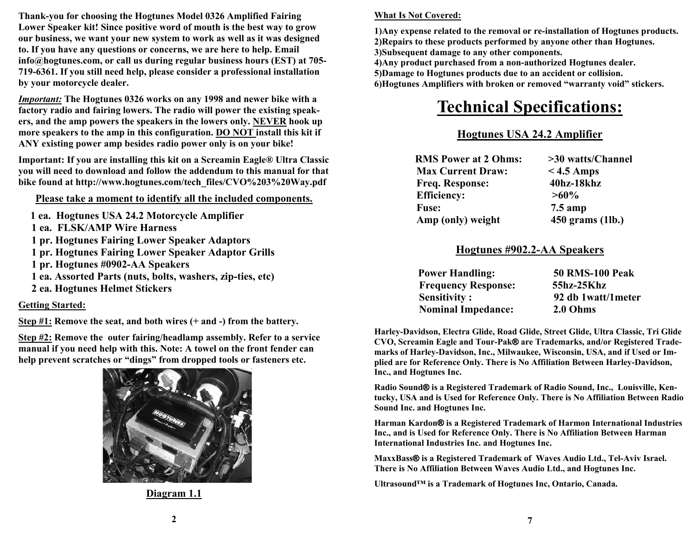**Thank-you for choosing the Hogtunes Model 0326 Amplified Fairing Lower Speaker kit! Since positive word of mouth is the best way to grow our business, we want your new system to work as well as it was designed to. If you have any questions or concerns, we are here to help. Email info@hogtunes.com, or call us during regular business hours (EST) at 705- 719-6361. If you still need help, please consider a professional installation by your motorcycle dealer.** 

*Important:* **The Hogtunes 0326 works on any 1998 and newer bike with a factory radio and fairing lowers. The radio will power the existing speakers, and the amp powers the speakers in the lowers only. NEVER hook up more speakers to the amp in this configuration. DO NOT install this kit if ANY existing power amp besides radio power only is on your bike!** 

**Important: If you are installing this kit on a Screamin Eagle® Ultra Classic you will need to download and follow the addendum to this manual for that bike found at http://www.hogtunes.com/tech\_files/CVO%203%20Way.pdf** 

**Please take a moment to identify all the included components.**

- **1 ea. Hogtunes USA 24.2 Motorcycle Amplifier**
- **1 ea. FLSK/AMP Wire Harness**
- **1 pr. Hogtunes Fairing Lower Speaker Adaptors**
- **1 pr. Hogtunes Fairing Lower Speaker Adaptor Grills**
- **1 pr. Hogtunes #0902-AA Speakers**
- **1 ea. Assorted Parts (nuts, bolts, washers, zip-ties, etc)**
- **2 ea. Hogtunes Helmet Stickers**

#### **Getting Started:**

**Step #1: Remove the seat, and both wires (+ and -) from the battery.** 

**Step #2: Remove the outer fairing/headlamp assembly. Refer to a service manual if you need help with this. Note: A towel on the front fender can help prevent scratches or "dings" from dropped tools or fasteners etc.** 



**Diagram 1.1**

#### **What Is Not Covered:**

**1)Any expense related to the removal or re-installation of Hogtunes products. 2)Repairs to these products performed by anyone other than Hogtunes. 3)Subsequent damage to any other components.** 

**4)Any product purchased from a non-authorized Hogtunes dealer. 5)Damage to Hogtunes products due to an accident or collision.** 

**6)Hogtunes Amplifiers with broken or removed "warranty void" stickers.** 

# **Technical Specifications:**

### **Hogtunes USA 24.2 Amplifier**

| <b>RMS Power at 2 Ohms:</b> | >30 watts/Channel |  |
|-----------------------------|-------------------|--|
| <b>Max Current Draw:</b>    | $<$ 4.5 Amps      |  |
| Freq. Response:             | 40hz-18khz        |  |
| <b>Efficiency:</b>          | $>60\%$           |  |
| <b>Fuse:</b>                | $7.5$ amp         |  |
| Amp (only) weight           | 450 grams (1lb.)  |  |

### **Hogtunes #902.2-AA Speakers**

| <b>Power Handling:</b>     | <b>50 RMS-100 Peak</b> |
|----------------------------|------------------------|
| <b>Frequency Response:</b> | 55hz-25Khz             |
| <b>Sensitivity:</b>        | 92 db 1watt/1meter     |
| <b>Nominal Impedance:</b>  | 2.0 Ohms               |

**Harley-Davidson, Electra Glide, Road Glide, Street Glide, Ultra Classic, Tri Glide CVO, Screamin Eagle and Tour-Pak® are Trademarks, and/or Registered Trademarks of Harley-Davidson, Inc., Milwaukee, Wisconsin, USA, and if Used or Implied are for Reference Only. There is No Affiliation Between Harley-Davidson, Inc., and Hogtunes Inc.** 

**Radio Sound ® is a Registered Trademark of Radio Sound, Inc., Louisville, Kentucky, USA and is Used for Reference Only. There is No Affiliation Between Radio Sound Inc. and Hogtunes Inc.** 

**Harman Kardon® is a Registered Trademark of Harmon International Industries Inc., and is Used for Reference Only. There is No Affiliation Between Harman International Industries Inc. and Hogtunes Inc.** 

**MaxxBass ® is a Registered Trademark of Waves Audio Ltd., Tel-Aviv Israel. There is No Affiliation Between Waves Audio Ltd., and Hogtunes Inc.** 

**Ultrasound™ is a Trademark of Hogtunes Inc, Ontario, Canada.**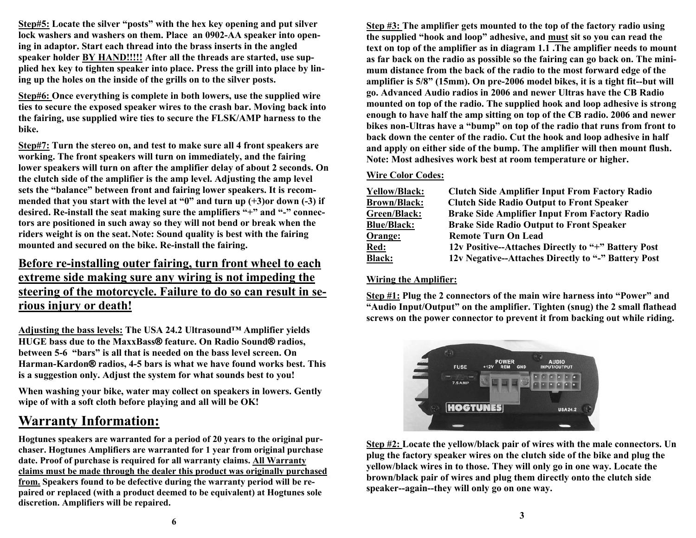**Step#5: Locate the silver "posts" with the hex key opening and put silver lock washers and washers on them. Place an 0902-AA speaker into opening in adaptor. Start each thread into the brass inserts in the angled speaker holder BY HAND!!!!! After all the threads are started, use supplied hex key to tighten speaker into place. Press the grill into place by lining up the holes on the inside of the grills on to the silver posts.** 

**Step#6: Once everything is complete in both lowers, use the supplied wire ties to secure the exposed speaker wires to the crash bar. Moving back into the fairing, use supplied wire ties to secure the FLSK/AMP harness to the bike.** 

**Step#7: Turn the stereo on, and test to make sure all 4 front speakers are working. The front speakers will turn on immediately, and the fairing lower speakers will turn on after the amplifier delay of about 2 seconds. On the clutch side of the amplifier is the amp level. Adjusting the amp level sets the "balance" between front and fairing lower speakers. It is recommended that you start with the level at "0" and turn up (+3)or down (-3) if desired. Re-install the seat making sure the amplifiers "+" and "-" connectors are positioned in such away so they will not bend or break when the riders weight is on the seat.Note: Sound quality is best with the fairing mounted and secured on the bike. Re-install the fairing.** 

### **Before re-installing outer fairing, turn front wheel to each extreme side making sure any wiring is not impeding the steering of the motorcycle. Failure to do so can result in serious injury or death!**

**Adjusting the bass levels: The USA 24.2 Ultrasound™ Amplifier yields HUGE bass due to the MaxxBass ® feature. On Radio Sound ® radios, between 5-6 "bars" is all that is needed on the bass level screen. On Harman-Kardon ® radios, 4-5 bars is what we have found works best. This is a suggestion only. Adjust the system for what sounds best to you!** 

**When washing your bike, water may collect on speakers in lowers. Gently wipe of with a soft cloth before playing and all will be OK!** 

# **Warranty Information:**

**Hogtunes speakers are warranted for a period of 20 years to the original purchaser. Hogtunes Amplifiers are warranted for 1 year from original purchase date. Proof of purchase is required for all warranty claims. All Warranty claims must be made through the dealer this product was originally purchased from. Speakers found to be defective during the warranty period will be repaired or replaced (with a product deemed to be equivalent) at Hogtunes sole discretion. Amplifiers will be repaired.**

**Step #3: The amplifier gets mounted to the top of the factory radio using the supplied "hook and loop" adhesive, and must sit so you can read the text on top of the amplifier as in diagram 1.1 .The amplifier needs to mount as far back on the radio as possible so the fairing can go back on. The minimum distance from the back of the radio to the most forward edge of the amplifier is 5/8" (15mm). On pre-2006 model bikes, it is a tight fit--but will go. Advanced Audio radios in 2006 and newer Ultras have the CB Radio mounted on top of the radio. The supplied hook and loop adhesive is strong enough to have half the amp sitting on top of the CB radio. 2006 and newer bikes non-Ultras have a "bump" on top of the radio that runs from front to back down the center of the radio. Cut the hook and loop adhesive in half and apply on either side of the bump. The amplifier will then mount flush. Note: Most adhesives work best at room temperature or higher.** 

#### **Wire Color Codes:**

| <b>Yellow/Black:</b> | <b>Clutch Side Amplifier Input From Factory Radio</b> |
|----------------------|-------------------------------------------------------|
| <b>Brown/Black:</b>  | <b>Clutch Side Radio Output to Front Speaker</b>      |
| Green/Black:         | <b>Brake Side Amplifier Input From Factory Radio</b>  |
| <b>Blue/Black:</b>   | <b>Brake Side Radio Output to Front Speaker</b>       |
| Orange:              | <b>Remote Turn On Lead</b>                            |
| <b>Red:</b>          | 12v Positive--Attaches Directly to "+" Battery Post   |
| <b>Black:</b>        | 12v Negative--Attaches Directly to "-" Battery Post   |

#### **Wiring the Amplifier:**

**Step #1: Plug the 2 connectors of the main wire harness into "Power" and "Audio Input/Output" on the amplifier. Tighten (snug) the 2 small flathead screws on the power connector to prevent it from backing out while riding.** 



**Step #2: Locate the yellow/black pair of wires with the male connectors. Un plug the factory speaker wires on the clutch side of the bike and plug the yellow/black wires in to those. They will only go in one way. Locate the brown/black pair of wires and plug them directly onto the clutch side speaker--again--they will only go on one way.**